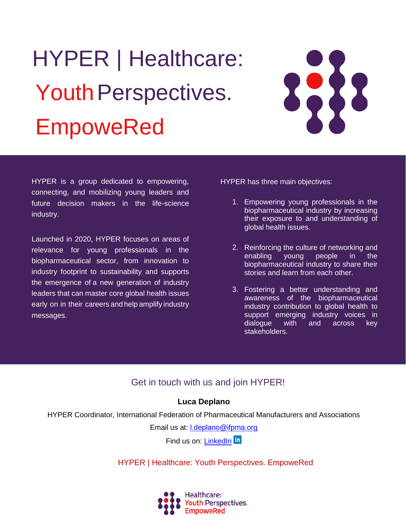# HYPER | Healthcare: Youth Perspectives. EmpoweRed



HYPER is a group dedicated to empowering, connecting, and mobilizing young leaders and future decision makers in the life-science industry.

Launched in 2020, HYPER focuses on areas of relevance for young professionals in the biopharmaceutical sector, from innovation to industry footprint to sustainability and supports the emergence of a new generation of industry leaders that can master core global health issues early on in their careers and help amplify industry messages.

HYPER has three main objectives:

- 1. Empowering young professionals in the biopharmaceutical industry by increasing their exposure to and understanding of global health issues.
- 2. Reinforcing the culture of networking and enabling young people in the biopharmaceutical industry to share their stories and learn from each other.
- 3. Fostering a better understanding and awareness of the biopharmaceutical industry contribution to global health to support emerging industry voices in dialogue with and across key stakeholders.

## Get in touch with us and join HYPER!

### **Luca Deplano**

HYPER Coordinator, International Federation of Pharmaceutical Manufacturers and Associations

Email us at: [l.deplano@ifpma.org](mailto:l.deplano@ifpma.org)

Find us on: [LinkedIn](https://www.linkedin.com/company/hyper-healthcare-youth-perspectives-empowered) In

[HYPER | Healthcare: Youth Perspectives. EmpoweRed](https://www.linkedin.com/company/hyper-healthcare-youth-perspectives-empowered/posts/?feedView=all&viewAsMember=true)